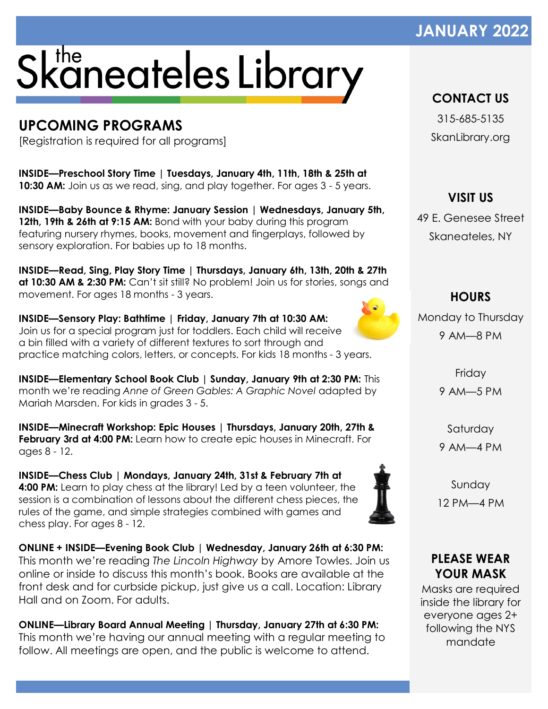## **JANUARY 2022**

# Skaneateles Library

## **UPCOMING PROGRAMS**

[Registration is required for all programs]

**INSIDE—Preschool Story Time | Tuesdays, January 4th, 11th, 18th & 25th at 10:30 AM:** Join us as we read, sing, and play together. For ages 3 - 5 years.

**INSIDE—Baby Bounce & Rhyme: January Session | Wednesdays, January 5th, 12th, 19th & 26th at 9:15 AM:** Bond with your baby during this program featuring nursery rhymes, books, movement and fingerplays, followed by sensory exploration. For babies up to 18 months.

**INSIDE—Read, Sing, Play Story Time | Thursdays, January 6th, 13th, 20th & 27th at 10:30 AM & 2:30 PM:** Can't sit still? No problem! Join us for stories, songs and movement. For ages 18 months - 3 years.

**INSIDE—Sensory Play: Bathtime | Friday, January 7th at 10:30 AM:**  Join us for a special program just for toddlers. Each child will receive a bin filled with a variety of different textures to sort through and practice matching colors, letters, or concepts. For kids 18 months - 3 years.

**INSIDE—Elementary School Book Club | Sunday, January 9th at 2:30 PM:** This month we're reading *Anne of Green Gables: A Graphic Novel* adapted by Mariah Marsden. For kids in grades 3 - 5.

**INSIDE—Minecraft Workshop: Epic Houses | Thursdays, January 20th, 27th & February 3rd at 4:00 PM:** Learn how to create epic houses in Minecraft. For ages 8 - 12.

**INSIDE—Chess Club | Mondays, January 24th, 31st & February 7th at 4:00 PM:** Learn to play chess at the library! Led by a teen volunteer, the session is a combination of lessons about the different chess pieces, the rules of the game, and simple strategies combined with games and chess play. For ages 8 - 12.

**ONLINE + INSIDE—Evening Book Club | Wednesday, January 26th at 6:30 PM:** This month we're reading *The Lincoln Highway* by Amore Towles. Join us online or inside to discuss this month's book. Books are available at the front desk and for curbside pickup, just give us a call. Location: Library Hall and on Zoom. For adults.

**ONLINE—Library Board Annual Meeting | Thursday, January 27th at 6:30 PM:** This month we're having our annual meeting with a regular meeting to follow. All meetings are open, and the public is welcome to attend.

### **CONTACT US**

315-685-5135 SkanLibrary.org

**VISIT US** 49 E. Genesee Street Skaneateles, NY

Monday to Thursday 9 AM—8 PM

**HOURS**

Friday 9 AM—5 PM

Saturday

9 AM—4 PM

Sunday 12 PM—4 PM

#### **PLEASE WEAR YOUR MASK**

Masks are required inside the library for everyone ages 2+ following the NYS mandate